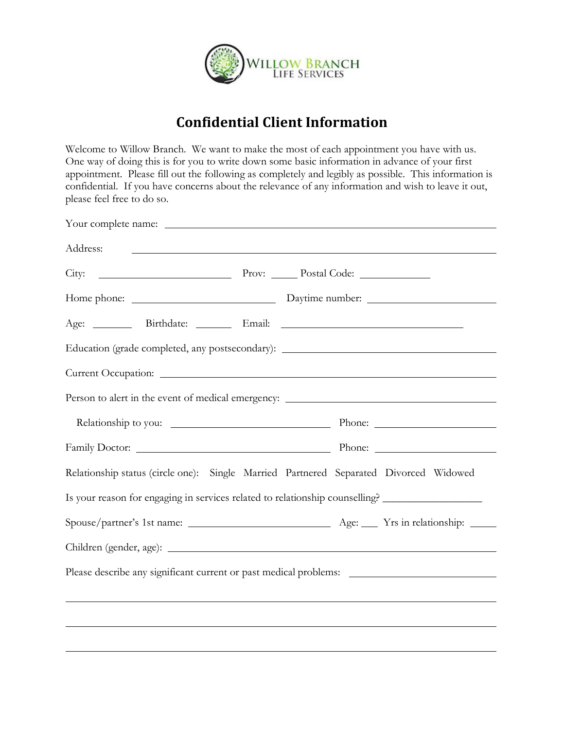

## **Confidential Client Information**

Welcome to Willow Branch. We want to make the most of each appointment you have with us. One way of doing this is for you to write down some basic information in advance of your first appointment. Please fill out the following as completely and legibly as possible. This information is confidential. If you have concerns about the relevance of any information and wish to leave it out, please feel free to do so.

| Address:<br><u> 1980 - Andrea Station Barbara, actor a component de la componentación de la componentación de la componentació</u> |  |  |
|------------------------------------------------------------------------------------------------------------------------------------|--|--|
|                                                                                                                                    |  |  |
|                                                                                                                                    |  |  |
|                                                                                                                                    |  |  |
| Education (grade completed, any postsecondary): _________________________________                                                  |  |  |
|                                                                                                                                    |  |  |
|                                                                                                                                    |  |  |
|                                                                                                                                    |  |  |
|                                                                                                                                    |  |  |
| Relationship status (circle one): Single Married Partnered Separated Divorced Widowed                                              |  |  |
| Is your reason for engaging in services related to relationship counselling? _________________                                     |  |  |
|                                                                                                                                    |  |  |
|                                                                                                                                    |  |  |
| Please describe any significant current or past medical problems: __________________________________                               |  |  |
|                                                                                                                                    |  |  |
|                                                                                                                                    |  |  |
|                                                                                                                                    |  |  |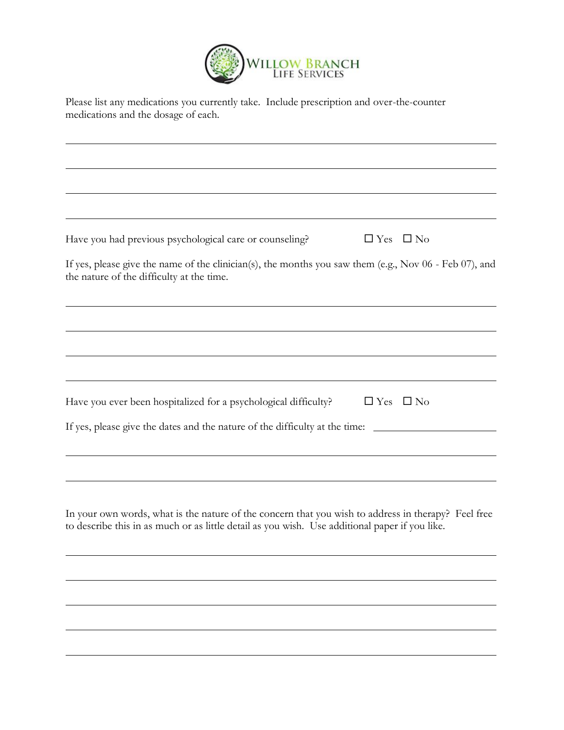

| Please list any medications you currently take. Include prescription and over-the-counter |  |
|-------------------------------------------------------------------------------------------|--|
| medications and the dosage of each.                                                       |  |

| $\Box$ Yes $\Box$ No<br>Have you had previous psychological care or counseling?                                                                                                                       |
|-------------------------------------------------------------------------------------------------------------------------------------------------------------------------------------------------------|
| If yes, please give the name of the clinician(s), the months you saw them (e.g., Nov 06 - Feb 07), and<br>the nature of the difficulty at the time.                                                   |
|                                                                                                                                                                                                       |
|                                                                                                                                                                                                       |
|                                                                                                                                                                                                       |
| Have you ever been hospitalized for a psychological difficulty?<br>$\Box$ Yes $\Box$ No                                                                                                               |
| If yes, please give the dates and the nature of the difficulty at the time:                                                                                                                           |
|                                                                                                                                                                                                       |
|                                                                                                                                                                                                       |
| In your own words, what is the nature of the concern that you wish to address in therapy? Feel free<br>to describe this in as much or as little detail as you wish. Use additional paper if you like. |
|                                                                                                                                                                                                       |
|                                                                                                                                                                                                       |